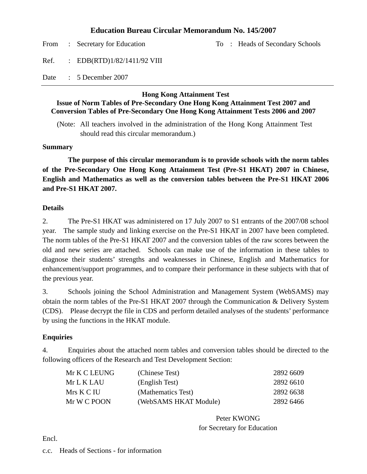## **Education Bureau Circular Memorandum No. 145/2007**

From : Secretary for Education To : Heads of Secondary Schools

Ref. : EDB(RTD)1/82/1411/92 VIII

Date : 5 December 2007

## **Hong Kong Attainment Test**

## **Issue of Norm Tables of Pre-Secondary One Hong Kong Attainment Test 2007 and Conversion Tables of Pre-Secondary One Hong Kong Attainment Tests 2006 and 2007**

(Note: All teachers involved in the administration of the Hong Kong Attainment Test should read this circular memorandum.)

## **Summary**

 **The purpose of this circular memorandum is to provide schools with the norm tables of the Pre-Secondary One Hong Kong Attainment Test (Pre-S1 HKAT) 2007 in Chinese, English and Mathematics as well as the conversion tables between the Pre-S1 HKAT 2006 and Pre-S1 HKAT 2007.** 

## **Details**

2. The Pre-S1 HKAT was administered on 17 July 2007 to S1 entrants of the 2007/08 school year. The sample study and linking exercise on the Pre-S1 HKAT in 2007 have been completed. The norm tables of the Pre-S1 HKAT 2007 and the conversion tables of the raw scores between the old and new series are attached. Schools can make use of the information in these tables to diagnose their students' strengths and weaknesses in Chinese, English and Mathematics for enhancement/support programmes, and to compare their performance in these subjects with that of the previous year.

3. Schools joining the School Administration and Management System (WebSAMS) may obtain the norm tables of the Pre-S1 HKAT 2007 through the Communication & Delivery System (CDS). Please decrypt the file in CDS and perform detailed analyses of the students' performance by using the functions in the HKAT module.

## **Enquiries**

4. Enquiries about the attached norm tables and conversion tables should be directed to the following officers of the Research and Test Development Section:

| Mr K C LEUNG | (Chinese Test)        | 2892 6609 |
|--------------|-----------------------|-----------|
| Mr L K LAU   | (English Test)        | 2892 6610 |
| Mrs K C IU   | (Mathematics Test)    | 2892 6638 |
| Mr W C POON  | (WebSAMS HKAT Module) | 2892 6466 |

Peter KWONG for Secretary for Education

Encl.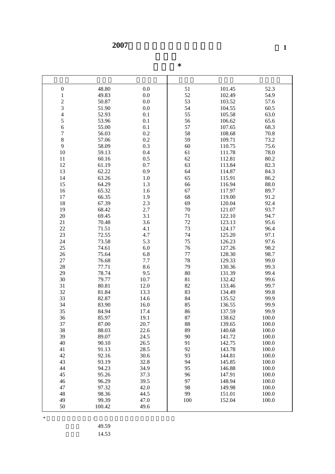|  | $\ast$ |
|--|--------|
|  |        |

| $\boldsymbol{0}$ | 48.80  | 0.0     | 51      | 101.45 | 52.3  |
|------------------|--------|---------|---------|--------|-------|
| $\mathbf{1}$     | 49.83  | 0.0     | 52      | 102.49 | 54.9  |
|                  | 50.87  | 0.0     | 53      | 103.52 | 57.6  |
| $\frac{2}{3}$    | 51.90  | 0.0     | 54      | 104.55 | 60.5  |
| $\overline{4}$   |        |         | 55      |        | 63.0  |
|                  | 52.93  | 0.1     |         | 105.58 |       |
| 5                | 53.96  | 0.1     | 56      | 106.62 | 65.6  |
| 6                | 55.00  | 0.1     | 57      | 107.65 | 68.3  |
| $\overline{7}$   | 56.03  | 0.2     | 58      | 108.68 | 70.8  |
| $\,8\,$          | 57.06  | 0.2     | 59      | 109.71 | 73.2  |
| 9                | 58.09  | 0.3     | 60      | 110.75 | 75.6  |
| $10\,$           | 59.13  | 0.4     | 61      | 111.78 | 78.0  |
| 11               | 60.16  | 0.5     | 62      | 112.81 | 80.2  |
| 12               | 61.19  | 0.7     | 63      | 113.84 | 82.3  |
| 13               | 62.22  | 0.9     | 64      | 114.87 | 84.3  |
| 14               | 63.26  | $1.0\,$ | 65      | 115.91 | 86.2  |
| 15               | 64.29  | 1.3     | 66      | 116.94 | 88.0  |
| 16               | 65.32  | 1.6     | 67      | 117.97 | 89.7  |
| 17               | 66.35  | 1.9     | 68      | 119.00 | 91.2  |
| 18               | 67.39  | 2.3     | 69      | 120.04 | 92.4  |
| 19               | 68.42  | 2.7     | 70      | 121.07 | 93.7  |
| 20               | 69.45  | 3.1     | 71      | 122.10 | 94.7  |
| 21               | 70.48  | 3.6     | 72      | 123.13 | 95.6  |
| 22               | 71.51  | 4.1     | 73      | 124.17 | 96.4  |
| 23               | 72.55  | 4.7     | 74      | 125.20 | 97.1  |
| 24               | 73.58  | 5.3     | 75      | 126.23 | 97.6  |
| 25               | 74.61  | 6.0     | 76      | 127.26 | 98.2  |
| 26               | 75.64  | 6.8     | $77 \,$ | 128.30 | 98.7  |
| 27               | 76.68  | 7.7     | 78      | 129.33 | 99.0  |
| 28               | 77.71  | 8.6     | 79      | 130.36 | 99.3  |
| 29               | 78.74  | 9.5     | $80\,$  | 131.39 | 99.4  |
| 30               | 79.77  | 10.7    | 81      | 132.42 | 99.6  |
| 31               | 80.81  | 12.0    | 82      | 133.46 | 99.7  |
| 32               | 81.84  | 13.3    | 83      | 134.49 | 99.8  |
| 33               | 82.87  | 14.6    | 84      | 135.52 | 99.9  |
| 34               | 83.90  | 16.0    | 85      | 136.55 | 99.9  |
| 35               | 84.94  | 17.4    | 86      | 137.59 | 99.9  |
| 36               | 85.97  | 19.1    | 87      | 138.62 | 100.0 |
| 37               | 87.00  | 20.7    | 88      | 139.65 | 100.0 |
| 38               | 88.03  | 22.6    | 89      | 140.68 | 100.0 |
| 39               | 89.07  | 24.5    | 90      | 141.72 | 100.0 |
| 40               | 90.10  | 26.5    | 91      | 142.75 | 100.0 |
| 41               | 91.13  | 28.5    | 92      | 143.78 | 100.0 |
| 42               | 92.16  | 30.6    | 93      | 144.81 | 100.0 |
| 43               | 93.19  | 32.8    | 94      | 145.85 | 100.0 |
| 44               | 94.23  | 34.9    | 95      | 146.88 | 100.0 |
| 45               | 95.26  | 37.3    | 96      | 147.91 | 100.0 |
| 46               | 96.29  | 39.5    | 97      | 148.94 | 100.0 |
| 47               | 97.32  | 42.0    | 98      | 149.98 | 100.0 |
| 48               | 98.36  | 44.5    | 99      | 151.01 | 100.0 |
| 49               | 99.39  | 47.0    | 100     | 152.04 | 100.0 |
| 50               | 100.42 | 49.6    |         |        |       |

\* 常模表根據二零零七/零八學年入讀中一的學生樣本編製。

49.59

14.53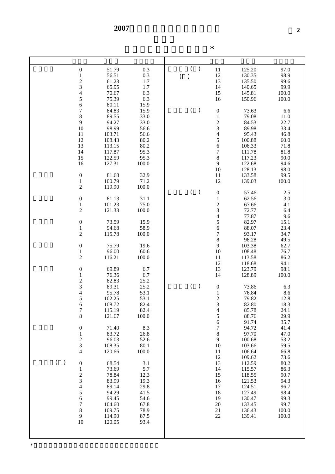$*$ 

|  |  | $\ast$ |
|--|--|--------|
|  |  |        |

| $\boldsymbol{0}$                           | 0.3<br>51.79    | $\mathcal{E}$                     | $11\,$                                     | 125.20 | 97.0  |
|--------------------------------------------|-----------------|-----------------------------------|--------------------------------------------|--------|-------|
|                                            |                 |                                   |                                            |        |       |
| $\,1$                                      | 56.51<br>0.3    | $\, )$<br>$\overline{(\ }$        | 12                                         | 130.35 | 98.9  |
| $\frac{2}{3}$                              | 1.7<br>61.23    |                                   | 13                                         | 135.50 | 99.6  |
|                                            | 65.95<br>1.7    |                                   | 14                                         | 140.65 | 99.9  |
| $\overline{\mathcal{L}}$                   | 70.67<br>6.3    |                                   | 15                                         | 145.81 | 100.0 |
| 5                                          | 75.39<br>6.3    |                                   | 16                                         | 150.96 | 100.0 |
| 6                                          | 80.11<br>15.9   |                                   |                                            |        |       |
|                                            |                 |                                   |                                            |        |       |
| $\overline{7}$                             | 84.83<br>15.9   | $\overline{(\ }$<br>$\mathcal{E}$ | $\boldsymbol{0}$                           | 73.63  | 6.6   |
| 8                                          | 89.55<br>33.0   |                                   | $\mathbf{1}$                               | 79.08  | 11.0  |
| 9                                          | 94.27<br>33.0   |                                   | $\frac{2}{3}$                              | 84.53  | 22.7  |
| 10                                         | 98.99<br>56.6   |                                   |                                            | 89.98  | 33.4  |
| 11                                         | 103.71<br>56.6  |                                   | $\overline{4}$                             | 95.43  | 46.8  |
| 12                                         | 108.43<br>80.2  |                                   |                                            | 100.88 | 60.0  |
|                                            |                 |                                   | $\frac{5}{6}$                              |        |       |
| 13                                         | 80.2<br>113.15  |                                   |                                            | 106.33 | 71.8  |
| 14                                         | 117.87<br>95.3  |                                   | $\overline{7}$                             | 111.78 | 81.8  |
| 15                                         | 122.59<br>95.3  |                                   | $\,8$                                      | 117.23 | 90.0  |
| 16                                         | 127.31<br>100.0 |                                   | 9                                          | 122.68 | 94.6  |
|                                            |                 |                                   | 10                                         | 128.13 | 98.0  |
| $\boldsymbol{0}$                           | 81.68<br>32.9   |                                   | 11                                         | 133.58 | 99.5  |
|                                            | 100.79<br>71.2  |                                   | 12                                         |        |       |
| $\mathbf{1}$                               |                 |                                   |                                            | 139.03 | 100.0 |
| $\overline{c}$                             | 100.0<br>119.90 |                                   |                                            |        |       |
|                                            |                 | $\overline{(\ }$<br>$\big)$       | $\boldsymbol{0}$                           | 57.46  | 2.5   |
| $\boldsymbol{0}$                           | 81.13<br>31.1   |                                   | $\,1$                                      | 62.56  | 3.0   |
| $\,1$                                      | 101.23<br>75.0  |                                   |                                            | 67.66  | 4.1   |
| $\overline{c}$                             | 121.33<br>100.0 |                                   | $\begin{array}{c} 2 \\ 3 \\ 4 \end{array}$ | 72.77  | 6.4   |
|                                            |                 |                                   |                                            | 77.87  |       |
|                                            |                 |                                   |                                            |        | 9.6   |
| $\boldsymbol{0}$                           | 73.59<br>15.9   |                                   | 5                                          | 82.97  | 15.1  |
| $\mathbf{1}$                               | 94.68<br>58.9   |                                   | 6                                          | 88.07  | 23.4  |
| $\overline{c}$                             | 115.78<br>100.0 |                                   | $\overline{7}$                             | 93.17  | 34.7  |
|                                            |                 |                                   | $8\,$                                      | 98.28  | 49.5  |
| $\boldsymbol{0}$                           | 75.79<br>19.6   |                                   | 9                                          | 103.38 | 62.7  |
| $\mathbf{1}$                               | 96.00<br>60.6   |                                   | 10                                         | 108.48 | 76.7  |
|                                            |                 |                                   |                                            |        |       |
| $\overline{c}$                             | 116.21<br>100.0 |                                   | 11                                         | 113.58 | 86.2  |
|                                            |                 |                                   | 12                                         | 118.68 | 94.1  |
| $\boldsymbol{0}$                           | 69.89<br>6.7    |                                   | 13                                         | 123.79 | 98.1  |
| $\,1$                                      | 76.36<br>6.7    |                                   | 14                                         | 128.89 | 100.0 |
|                                            | 82.83<br>25.2   |                                   |                                            |        |       |
| $\frac{2}{3}$                              | 89.31<br>25.2   | $\overline{(\ }$<br>$\big)$       | $\boldsymbol{0}$                           | 73.86  | 6.3   |
|                                            | 95.78<br>53.1   |                                   |                                            | 76.84  | 8.6   |
| $\overline{\mathcal{L}}$                   |                 |                                   | $\frac{1}{2}$                              |        |       |
| 5                                          | 102.25<br>53.1  |                                   |                                            | 79.82  | 12.8  |
| 6                                          | 108.72<br>82.4  |                                   |                                            | 82.80  | 18.3  |
| $\overline{7}$                             | 115.19<br>82.4  |                                   | $\overline{\mathcal{A}}$                   | 85.78  | 24.1  |
| 8                                          | 121.67<br>100.0 |                                   | 5                                          | 88.76  | 29.9  |
|                                            |                 |                                   | 6                                          | 91.74  | 35.7  |
| $\boldsymbol{0}$                           | 8.3<br>71.40    |                                   | $\boldsymbol{7}$                           | 94.72  | 41.4  |
| $\,1$                                      | 83.72<br>26.8   |                                   | $8\,$                                      | 97.70  | 47.0  |
|                                            |                 |                                   |                                            |        |       |
| $\frac{2}{3}$                              | 96.03<br>52.6   |                                   | 9                                          | 100.68 | 53.2  |
|                                            | 80.1<br>108.35  |                                   | 10                                         | 103.66 | 59.5  |
| $\overline{4}$                             | 100.0<br>120.66 |                                   | 11                                         | 106.64 | 66.8  |
|                                            |                 |                                   | 12                                         | 109.62 | 73.6  |
| $\big)$<br>$\left($<br>$\boldsymbol{0}$    | 68.54<br>3.1    |                                   | 13                                         | 112.59 | 80.2  |
| $\mathbf{1}$                               | 73.69<br>5.7    |                                   | 14                                         | 115.57 | 86.3  |
|                                            | 78.84<br>12.3   |                                   | 15                                         | 118.55 | 90.7  |
| $\frac{2}{3}$                              |                 |                                   |                                            |        |       |
|                                            | 83.99<br>19.3   |                                   | 16                                         | 121.53 | 94.3  |
| $\begin{array}{c} 4 \\ 5 \\ 6 \end{array}$ | 89.14<br>29.8   |                                   | 17                                         | 124.51 | 96.7  |
|                                            | 94.29<br>41.5   |                                   | 18                                         | 127.49 | 98.4  |
|                                            | 99.45<br>54.6   |                                   | 19                                         | 130.47 | 99.3  |
| $\overline{7}$                             | 104.60<br>67.8  |                                   | 20                                         | 133.45 | 99.7  |
| 8                                          | 109.75<br>78.9  |                                   | 21                                         | 136.43 | 100.0 |
| 9                                          | 87.5<br>114.90  |                                   | 22                                         | 139.41 | 100.0 |
|                                            |                 |                                   |                                            |        |       |
| $10\,$                                     | 93.4<br>120.05  |                                   |                                            |        |       |
|                                            |                 |                                   |                                            |        |       |
|                                            |                 |                                   |                                            |        |       |
|                                            |                 |                                   |                                            |        |       |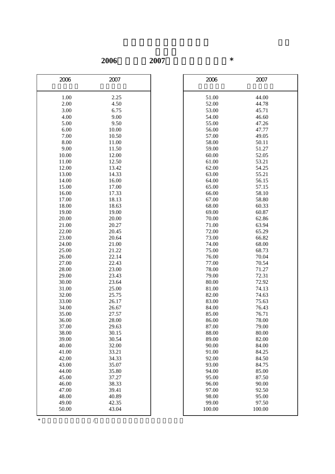**2006**年轉換至**2007**年的原始分換算表\*

| 2006           | 2007           | 2006           | 2007           |
|----------------|----------------|----------------|----------------|
|                |                |                |                |
|                |                |                | 44.00          |
| 1.00           | 2.25           | 51.00          | 44.78          |
| 2.00           | 4.50           | 52.00          |                |
| 3.00           | 6.75           | 53.00          | 45.71          |
| 4.00           | 9.00           | 54.00          | 46.60          |
| 5.00           | 9.50           | 55.00          | 47.26          |
| 6.00           | 10.00          | 56.00          | 47.77          |
| 7.00           | 10.50          | 57.00          | 49.05          |
| 8.00           | 11.00          | 58.00          | 50.11          |
| 9.00           | 11.50          | 59.00          | 51.27          |
| 10.00          | 12.00          | 60.00          | 52.05          |
| 11.00          | 12.50          | 61.00          | 53.21          |
| 12.00<br>13.00 | 13.42          | 62.00<br>63.00 | 54.25<br>55.21 |
|                | 14.33          |                |                |
| 14.00          | 16.00          | 64.00          | 56.15          |
| 15.00          | 17.00          | 65.00          | 57.15          |
| 16.00          | 17.33          | 66.00          | 58.10          |
| 17.00          | 18.13          | 67.00          | 58.80          |
| 18.00          | 18.63<br>19.00 | 68.00          | 60.33          |
| 19.00          |                | 69.00          | 60.87          |
| 20.00          | 20.00          | 70.00          | 62.86          |
| 21.00          | 20.27          | 71.00          | 63.94          |
| 22.00          | 20.45          | 72.00          | 65.29          |
| 23.00          | 20.64          | 73.00          | 66.82          |
| 24.00          | 21.00          | 74.00          | 68.00          |
| 25.00          | 21.22          | 75.00          | 68.73          |
| 26.00          | 22.14<br>22.43 | 76.00          | 70.04<br>70.54 |
| 27.00          | 23.00          | 77.00<br>78.00 | 71.27          |
| 28.00<br>29.00 | 23.43          | 79.00          | 72.31          |
| 30.00          | 23.64          | 80.00          | 72.92          |
| 31.00          | 25.00          | 81.00          | 74.13          |
| 32.00          | 25.75          | 82.00          | 74.63          |
| 33.00          | 26.17          | 83.00          | 75.63          |
| 34.00          | 26.67          | 84.00          | 76.43          |
| 35.00          | 27.57          | 85.00          | 76.71          |
| 36.00          | 28.00          | 86.00          | 78.00          |
| 37.00          | 29.63          | 87.00          | 79.00          |
| 38.00          | 30.15          | 88.00          | 80.00          |
| 39.00          | 30.54          | 89.00          | 82.00          |
| 40.00          | 32.00          | 90.00          | 84.00          |
| 41.00          | 33.21          | 91.00          | 84.25          |
| 42.00          | 34.33          | 92.00          | 84.50          |
| 43.00          | 35.07          | 93.00          | 84.75          |
| 44.00          | 35.80          | 94.00          | 85.00          |
| 45.00          | 37.27          | 95.00          | 87.50          |
| 46.00          | 38.33          | 96.00          | 90.00          |
| 47.00          | 39.41          | 97.00          | 92.50          |
| 48.00          | 40.89          | 98.00          | 95.00          |
| 49.00          | 42.35          | 99.00          | 97.50          |
| 50.00          | 43.04          | 100.00         | 100.00         |
|                |                |                |                |

| 2006   | 2007   |  |
|--------|--------|--|
| 51.00  | 44.00  |  |
| 52.00  | 44.78  |  |
| 53.00  | 45.71  |  |
| 54.00  | 46.60  |  |
| 55.00  | 47.26  |  |
| 56.00  | 47.77  |  |
| 57.00  | 49.05  |  |
| 58.00  | 50.11  |  |
| 59.00  | 51.27  |  |
| 60.00  | 52.05  |  |
| 61.00  | 53.21  |  |
| 62.00  | 54.25  |  |
| 63.00  | 55.21  |  |
| 64.00  | 56.15  |  |
| 65.00  | 57.15  |  |
| 66.00  | 58.10  |  |
| 67.00  | 58.80  |  |
| 68.00  | 60.33  |  |
| 69.00  | 60.87  |  |
| 70.00  | 62.86  |  |
| 71.00  | 63.94  |  |
| 72.00  | 65.29  |  |
| 73.00  | 66.82  |  |
| 74.00  | 68.00  |  |
| 75.00  | 68.73  |  |
| 76.00  | 70.04  |  |
| 77.00  | 70.54  |  |
| 78.00  | 71.27  |  |
| 79.00  | 72.31  |  |
| 80.00  | 72.92  |  |
| 81.00  | 74.13  |  |
| 82.00  | 74.63  |  |
| 83.00  | 75.63  |  |
| 84.00  | 76.43  |  |
| 85.00  | 76.71  |  |
| 86.00  | 78.00  |  |
| 87.00  | 79.00  |  |
| 88.00  | 80.00  |  |
| 89.00  | 82.00  |  |
| 90.00  | 84.00  |  |
| 91.00  | 84.25  |  |
| 92.00  | 84.50  |  |
| 93.00  | 84.75  |  |
| 94.00  | 85.00  |  |
| 95.00  | 87.50  |  |
| 96.00  | 90.00  |  |
| 97.00  | 92.50  |  |
| 98.00  | 95.00  |  |
| 99.00  | 97.50  |  |
| 100.00 | 100.00 |  |
|        |        |  |

 $*$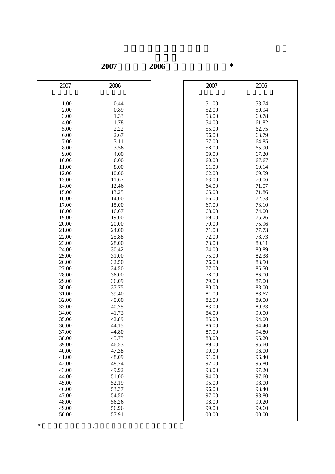**2007**年轉換至**2006**年的原始分換算表\*

| 2007           | 2006           | 2007           | 2006           |
|----------------|----------------|----------------|----------------|
|                |                |                |                |
| 1.00           | 0.44           | 51.00          | 58.74          |
| 2.00           | 0.89           | 52.00          | 59.94          |
| 3.00           | 1.33           | 53.00          | 60.78          |
| 4.00           | 1.78           | 54.00          | 61.82          |
| 5.00           | 2.22           | 55.00          | 62.75          |
| 6.00           | 2.67           | 56.00          | 63.79          |
| 7.00           | 3.11           | 57.00          | 64.85          |
| 8.00           | 3.56           | 58.00          | 65.90          |
| 9.00           | 4.00           | 59.00          | 67.20          |
| 10.00          | 6.00           | 60.00          | 67.67          |
| 11.00          | 8.00           | 61.00          | 69.14          |
| 12.00          | 10.00          | 62.00          | 69.59          |
| 13.00          | 11.67          | 63.00          | 70.06          |
| 14.00          | 12.46          | 64.00          | 71.07          |
| 15.00          | 13.25          | 65.00          | 71.86          |
| 16.00          | 14.00          | 66.00          | 72.53          |
| 17.00          | 15.00          | 67.00          | 73.10          |
| 18.00          | 16.67          | 68.00          | 74.00          |
| 19.00          | 19.00          | 69.00          | 75.26          |
| 20.00          | 20.00          | 70.00          | 75.96          |
| 21.00          | 24.00          | 71.00          | 77.73          |
| 22.00          | 25.88          | 72.00          | 78.73          |
| 23.00          | 28.00          | 73.00          | 80.11          |
| 24.00          | 30.42          | 74.00          | 80.89          |
| 25.00          | 31.00          | 75.00          | 82.38          |
| 26.00          | 32.50          | 76.00          | 83.50          |
| 27.00          | 34.50          | 77.00          | 85.50          |
| 28.00          | 36.00          | 78.00          | 86.00          |
| 29.00          | 36.09          | 79.00          | 87.00          |
| 30.00          | 37.75          | 80.00          | 88.00          |
| 31.00          | 39.40          | 81.00          | 88.67          |
| 32.00          | 40.00          | 82.00          | 89.00          |
| 33.00          | 40.75          | 83.00          | 89.33          |
| 34.00          | 41.73          | 84.00          | 90.00          |
| 35.00          | 42.89          | 85.00          | 94.00          |
| 36.00          | 44.15          | 86.00          | 94.40          |
| 37.00          | 44.80          | 87.00          | 94.80          |
| 38.00          | 45.73          | 88.00          | 95.20          |
| 39.00          | 46.53          | 89.00          | 95.60          |
| 40.00          | 47.38          | 90.00          | 96.00          |
| 41.00          | 48.09<br>48.74 | 91.00<br>92.00 | 96.40<br>96.80 |
| 42.00<br>43.00 | 49.92          | 93.00          | 97.20          |
| 44.00          | 51.00          | 94.00          | 97.60          |
| 45.00          | 52.19          | 95.00          | 98.00          |
| 46.00          | 53.37          | 96.00          | 98.40          |
| 47.00          | 54.50          | 97.00          | 98.80          |
| 48.00          | 56.26          | 98.00          | 99.20          |
| 49.00          | 56.96          | 99.00          | 99.60          |
| 50.00          | 57.91          | 100.00         | 100.00         |
|                |                |                |                |

| 2007           | 2006   |
|----------------|--------|
| 51.00          | 58.74  |
| 52.00          | 59.94  |
| 53.00          | 60.78  |
| 54.00          | 61.82  |
| 55.00          | 62.75  |
| 56.00          | 63.79  |
| 57.00          | 64.85  |
| 58.00          | 65.90  |
| 59.00          | 67.20  |
| 60.00          | 67.67  |
| 61.00          | 69.14  |
| 62.00          | 69.59  |
| 63.00          | 70.06  |
| 64.00          | 71.07  |
| 65.00          | 71.86  |
| 66.00          | 72.53  |
| 67.00          | 73.10  |
| 68.00          | 74.00  |
| 69.00          | 75.26  |
| 70.00          | 75.96  |
| 71.00          | 77.73  |
| 72.00          | 78.73  |
| 73.00          | 80.11  |
|                | 80.89  |
| 74.00          | 82.38  |
| 75.00<br>76.00 |        |
|                | 83.50  |
| 77.00          | 85.50  |
| 78.00          | 86.00  |
| 79.00          | 87.00  |
| 80.00          | 88.00  |
| 81.00          | 88.67  |
| 82.00          | 89.00  |
| 83.00          | 89.33  |
| 84.00          | 90.00  |
| 85.00          | 94.00  |
| 86.00          | 94.40  |
| 87.00          | 94.80  |
| 88.00          | 95.20  |
| 89.00          | 95.60  |
| 90.00          | 96.00  |
| 91.00          | 96.40  |
| 92.00          | 96.80  |
| 93.00          | 97.20  |
| 94.00          | 97.60  |
| 95.00          | 98.00  |
| 96.00          | 98.40  |
| 97.00          | 98.80  |
| 98.00          | 99.20  |
| 99.00          | 99.60  |
| 100.00         | 100.00 |
|                |        |

 $*$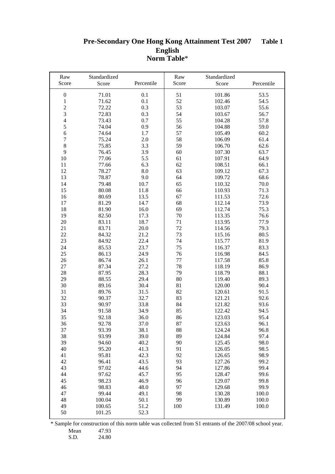#### **Pre-Secondary One Hong Kong Attainment Test 2007 English Norm Table**\* **Table 1 Table 1**

| Raw<br>Score     | Standardized<br>Score | Percentile | Raw<br>Score | Standardized<br>Score | Percentile |
|------------------|-----------------------|------------|--------------|-----------------------|------------|
|                  |                       |            |              |                       |            |
| $\boldsymbol{0}$ | 71.01                 | 0.1        | 51           | 101.86                | 53.5       |
| $\,1$            | 71.62                 | 0.1        | 52           | 102.46                | 54.5       |
|                  | 72.22                 | 0.3        | 53           | 103.07                | 55.6       |
| $\frac{2}{3}$    | 72.83                 | 0.3        | 54           | 103.67                | 56.7       |
| $\overline{4}$   | 73.43                 | 0.7        | 55           | 104.28                | 57.8       |
| 5                | 74.04                 | 0.9        | 56           | 104.88                | 59.0       |
| $\overline{6}$   | 74.64                 | 1.7        | 57           | 105.49                | 60.2       |
| $\boldsymbol{7}$ | 75.24                 | 2.0        | 58           | 106.09                | 61.4       |
| $\,8\,$          | 75.85                 | 3.3        | 59           | 106.70                | 62.6       |
| 9                | 76.45                 | 3.9        | 60           | 107.30                | 63.7       |
| $10\,$           | 77.06                 | 5.5        | 61           | 107.91                | 64.9       |
| 11               | 77.66                 | 6.3        | 62           | 108.51                | 66.1       |
| 12               | 78.27                 | 8.0        | 63           | 109.12                | 67.3       |
| 13               | 78.87                 | 9.0        | 64           | 109.72                | 68.6       |
| 14               | 79.48                 | 10.7       | 65           | 110.32                | 70.0       |
| 15               | 80.08                 | 11.8       | 66           | 110.93                | 71.3       |
| 16               | 80.69                 | 13.5       | 67           | 111.53                | 72.6       |
| 17               | 81.29                 | 14.7       | 68           | 112.14                | 73.9       |
| 18               | 81.90                 | 16.0       | 69           | 112.74                | 75.3       |
| 19               | 82.50                 | 17.3       | 70           | 113.35                | 76.6       |
| 20               | 83.11                 | 18.7       | 71           | 113.95                | 77.9       |
| 21               | 83.71                 | 20.0       | 72           | 114.56                | 79.3       |
| 22               | 84.32                 | 21.2       | 73           | 115.16                | 80.5       |
| 23               | 84.92                 | 22.4       | 74           | 115.77                | 81.9       |
| 24               | 85.53                 | 23.7       | 75           | 116.37                | 83.3       |
| 25               | 86.13                 | 24.9       | 76           | 116.98                | 84.5       |
| 26               | 86.74                 | 26.1       | 77           | 117.58                | 85.8       |
| 27               | 87.34                 | 27.2       | 78           | 118.19                | 86.9       |
| 28               | 87.95                 | 28.3       | 79           | 118.79                | 88.1       |
| 29               | 88.55                 | 29.4       | 80           | 119.40                | 89.3       |
| 30               | 89.16                 | 30.4       | 81           | 120.00                | 90.4       |
| 31               | 89.76                 | 31.5       | 82           | 120.61                | 91.5       |
| 32               | 90.37                 | 32.7       | 83           | 121.21                | 92.6       |
| 33               | 90.97                 | 33.8       | 84           | 121.82                | 93.6       |
| 34               | 91.58                 | 34.9       | 85           | 122.42                | 94.5       |
| 35               | 92.18                 | 36.0       | 86           | 123.03                | 95.4       |
| 36               | 92.78                 | 37.0       | 87           | 123.63                | 96.1       |
| 37               | 93.39                 | 38.1       | 88           | 124.24                | 96.8       |
| 38               | 93.99                 | 39.0       | 89           | 124.84                | 97.4       |
| 39               | 94.60                 | 40.2       | 90           | 125.45                | 98.0       |
| 40               | 95.20                 | 41.3       | 91           | 126.05                | 98.5       |
| 41               | 95.81                 | 42.3       | 92           | 126.65                | 98.9       |
| 42               | 96.41                 | 43.5       | 93           | 127.26                | 99.2       |
| 43               | 97.02                 | 44.6       | 94           | 127.86                | 99.4       |
| 44               | 97.62                 | 45.7       | 95           | 128.47                | 99.6       |
| 45               | 98.23                 | 46.9       | 96           | 129.07                | 99.8       |
| 46               | 98.83                 | 48.0       | 97           | 129.68                | 99.9       |
| 47               | 99.44                 | 49.1       | 98           | 130.28                | 100.0      |
| 48               | 100.04                | 50.1       | 99           | 130.89                | 100.0      |
| 49               | 100.65                | 51.2       | 100          | 131.49                | 100.0      |
| 50               | 101.25                | 52.3       |              |                       |            |

\* Sample for construction of this norm table was collected from S1 entrants of the 2007/08 school year.

Mean 47.93<br>S.D. 24.80

24.80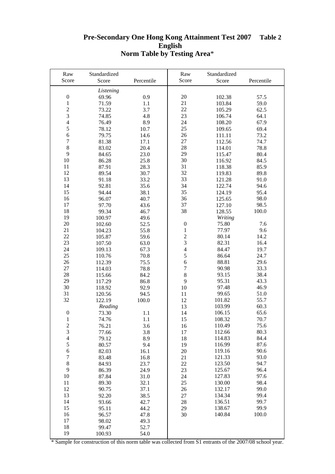#### **Pre-Secondary One Hong Kong Attainment Test 2007 English Norm Table by Testing Area**\* **Table 2**

| Raw                         | Standardized   |              | Raw              | Standardized     |              |
|-----------------------------|----------------|--------------|------------------|------------------|--------------|
| Score                       | Score          | Percentile   | Score            | Score            | Percentile   |
|                             | Listening      |              |                  |                  |              |
| $\boldsymbol{0}$            | 69.96          | 0.9          | 20               | 102.38           | 57.5         |
| $\mathbf 1$                 | 71.59          | 1.1          | 21               | 103.84           | 59.0         |
| $\overline{c}$              | 73.22          | 3.7          | 22               | 105.29           | 62.5         |
| 3                           | 74.85          | 4.8          | 23               | 106.74           | 64.1         |
| $\overline{\mathbf{4}}$     | 76.49          | 8.9          | 24               | 108.20           | 67.9         |
| 5                           | 78.12          | 10.7         | 25               | 109.65           | 69.4         |
| 6                           | 79.75          | 14.6         | 26               | 111.11           | 73.2         |
| $\overline{7}$              | 81.38          | 17.1         | 27               | 112.56           | 74.7         |
| $\,8\,$                     | 83.02          | 20.4         | $28\,$           | 114.01           | 78.8         |
| 9                           | 84.65          | 23.0         | 29               | 115.47           | 80.4         |
| 10                          | 86.28          | 25.8         | 30               | 116.92           | 84.5         |
| $11\,$                      | 87.91          | 28.3         | 31               | 118.38           | 85.9         |
| 12                          | 89.54          | 30.7         | 32               | 119.83           | 89.8         |
| 13                          | 91.18          | 33.2         | 33               | 121.28           | 91.0         |
| 14                          | 92.81          | 35.6         | 34               | 122.74           | 94.6         |
| 15                          | 94.44          | 38.1         | 35               | 124.19           | 95.4         |
| 16                          | 96.07          | 40.7         | 36               | 125.65           | 98.0         |
| 17                          | 97.70          | 43.6         | 37               | 127.10           | 98.5         |
| 18                          | 99.34          | 46.7         | 38               | 128.55           | 100.0        |
| 19                          | 100.97         | 49.6         |                  | Writing          |              |
| 20                          | 102.60         | 52.5         | $\boldsymbol{0}$ | 75.80            | 7.6          |
| 21                          | 104.23         | 55.8         | $\,1$            | 77.97            | 9.6          |
| 22                          | 105.87         | 59.6         | $\overline{c}$   | 80.14            | 14.2         |
| 23                          | 107.50         | 63.0         | 3                | 82.31            | 16.4         |
| 24                          | 109.13         | 67.3         | $\overline{4}$   | 84.47            | 19.7         |
| 25                          | 110.76         | 70.8         | 5                | 86.64            | 24.7         |
| 26                          | 112.39         | 75.5         | 6                | 88.81            | 29.6         |
| 27                          | 114.03         | 78.8         | $\overline{7}$   | 90.98            | 33.3         |
| 28                          | 115.66         | 84.2         | $8\,$            | 93.15            | 38.4         |
| 29                          | 117.29         | 86.8         | 9                | 95.31            | 43.3         |
| 30                          | 118.92         | 92.9         | 10               | 97.48            | 46.9         |
| 31                          | 120.56         | 94.5         | 11               | 99.65            | 51.0         |
| 32                          | 122.19         | 100.0        | 12               | 101.82           | 55.7         |
|                             | Reading        |              | 13               | 103.99           | 60.3         |
| $\boldsymbol{0}$            | 73.30          | 1.1          | 14               | 106.15           | 65.6         |
| $\mathbf{1}$                | 74.76          | 1.1          | 15               | 108.32           | 70.7         |
| $\sqrt{2}$                  | 76.21          | 3.6          | 16               | 110.49           | 75.6         |
| 3                           | 77.66          | 3.8          | 17               | 112.66           | 80.3         |
| $\overline{\mathcal{L}}$    | 79.12          | 8.9          | 18               | 114.83           | 84.4         |
| 5                           | 80.57          | 9.4          | 19               | 116.99           | 87.6         |
| 6                           | 82.03          | 16.1         | 20               | 119.16           | 90.6         |
| $\boldsymbol{7}$<br>$\,8\,$ | 83.48          | 16.8         | 21               | 121.33           | 93.0         |
| 9                           | 84.93          | 23.7         | 22               | 123.50           | 94.7         |
| 10                          | 86.39          | 24.9         | 23               | 125.67           | 96.4<br>97.6 |
| 11                          | 87.84          | 31.0         | 24               | 127.83<br>130.00 | 98.4         |
| 12                          | 89.30<br>90.75 | 32.1<br>37.1 | 25<br>26         | 132.17           | 99.0         |
| 13                          | 92.20          | 38.5         | 27               | 134.34           | 99.4         |
| 14                          | 93.66          | 42.7         | 28               | 136.51           | 99.7         |
| 15                          | 95.11          | 44.2         | 29               | 138.67           | 99.9         |
| 16                          | 96.57          | 47.8         | 30               | 140.84           | 100.0        |
| 17                          | 98.02          | 49.3         |                  |                  |              |
| 18                          | 99.47          | 52.7         |                  |                  |              |
| 19                          | 100.93         | 54.0         |                  |                  |              |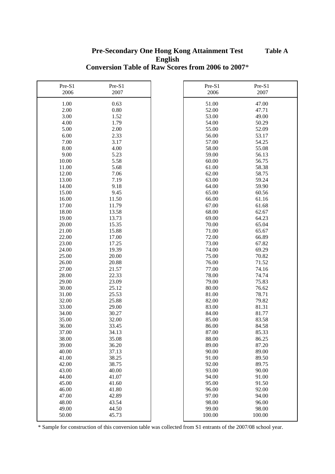## **English Conversion Table of Raw Scores from 2006 to 2007**\* **Pre-Secondary One Hong Kong Attainment Test Table A**

| Pre-S1<br>2006 | Pre-S1<br>2007 | Pre-S1<br>2006 | Pre-S1<br>2007 |
|----------------|----------------|----------------|----------------|
|                |                |                |                |
| 1.00           | 0.63           | 51.00          | 47.00          |
| 2.00           | $0.80\,$       | 52.00          | 47.71          |
| 3.00           | 1.52           | 53.00          | 49.00          |
| 4.00           | 1.79           | 54.00          | 50.29          |
| 5.00           | 2.00           | 55.00          | 52.09          |
| 6.00           | 2.33           | 56.00          | 53.17          |
| 7.00           | 3.17           | 57.00          | 54.25          |
| 8.00           | 4.00           | 58.00          | 55.08          |
| 9.00           | 5.23           | 59.00          | 56.13          |
| 10.00          | 5.58           | 60.00          | 56.75          |
| 11.00          | 5.68           | 61.00          | 58.38          |
| 12.00          | 7.06           | 62.00          | 58.75          |
| 13.00          | 7.19           | 63.00          | 59.24          |
| 14.00          | 9.18           | 64.00          | 59.90          |
| 15.00          | 9.45           | 65.00          | 60.56          |
| 16.00          | 11.50          | 66.00          | 61.16          |
| 17.00          | 11.79          | 67.00          | 61.68          |
| 18.00          | 13.58          | 68.00          | 62.67          |
| 19.00          | 13.73          | 69.00          | 64.23          |
| 20.00          | 15.35          | 70.00          | 65.04          |
| 21.00          | 15.88          | 71.00          | 65.67          |
| 22.00          | 17.00          | 72.00          | 66.89          |
| 23.00          | 17.25          | 73.00          | 67.82          |
| 24.00          | 19.39          | 74.00          | 69.29          |
| 25.00          | 20.00          | 75.00          | 70.82          |
| 26.00          | 20.88          | 76.00          | 71.52          |
| 27.00          | 21.57          | 77.00          | 74.16          |
| 28.00<br>29.00 | 22.33          | 78.00          | 74.74          |
|                | 23.09          | 79.00          | 75.83          |
| 30.00<br>31.00 | 25.12<br>25.53 | 80.00<br>81.00 | 76.62<br>78.71 |
| 32.00          | 25.88          | 82.00          | 79.82          |
| 33.00          | 29.00          | 83.00          | 81.31          |
| 34.00          | 30.27          | 84.00          | 81.77          |
| 35.00          | 32.00          | 85.00          | 83.58          |
| 36.00          | 33.45          | 86.00          | 84.58          |
| 37.00          | 34.13          | 87.00          | 85.33          |
| 38.00          | 35.08          | 88.00          | 86.25          |
| 39.00          | 36.20          | 89.00          | 87.20          |
| 40.00          | 37.13          | 90.00          | 89.00          |
| 41.00          | 38.25          | 91.00          | 89.50          |
| 42.00          | 38.75          | 92.00          | 89.75          |
| 43.00          | 40.00          | 93.00          | 90.00          |
| 44.00          | 41.07          | 94.00          | 91.00          |
| 45.00          | 41.60          | 95.00          | 91.50          |
| 46.00          | 41.80          | 96.00          | 92.00          |
| 47.00          | 42.89          | 97.00          | 94.00          |
| 48.00          | 43.54          | 98.00          | 96.00          |
| 49.00          | 44.50          | 99.00          | 98.00          |
| 50.00          | 45.73          | 100.00         | 100.00         |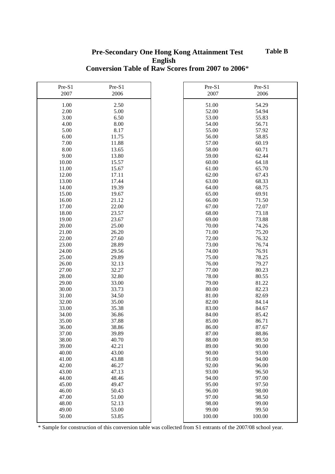## **English Conversion Table of Raw Scores from 2007 to 2006**\* **Pre-Secondary One Hong Kong Attainment Test Table B**

| Pre-S1 | Pre-S1 | Pre-S1 | Pre-S1 |
|--------|--------|--------|--------|
| 2007   | 2006   | 2007   | 2006   |
|        |        |        |        |
| 1.00   | 2.50   | 51.00  | 54.29  |
| 2.00   | 5.00   | 52.00  | 54.94  |
| 3.00   | 6.50   | 53.00  | 55.83  |
| 4.00   | 8.00   | 54.00  | 56.71  |
| 5.00   | 8.17   | 55.00  | 57.92  |
| 6.00   | 11.75  | 56.00  | 58.85  |
| 7.00   | 11.88  | 57.00  | 60.19  |
| 8.00   | 13.65  | 58.00  | 60.71  |
| 9.00   | 13.80  | 59.00  | 62.44  |
| 10.00  | 15.57  | 60.00  | 64.18  |
| 11.00  | 15.67  | 61.00  | 65.70  |
| 12.00  | 17.11  | 62.00  | 67.43  |
| 13.00  | 17.44  | 63.00  | 68.33  |
| 14.00  | 19.39  | 64.00  | 68.75  |
| 15.00  | 19.67  | 65.00  | 69.91  |
| 16.00  | 21.12  | 66.00  | 71.50  |
| 17.00  | 22.00  | 67.00  | 72.07  |
| 18.00  | 23.57  | 68.00  | 73.18  |
| 19.00  | 23.67  | 69.00  | 73.88  |
| 20.00  | 25.00  | 70.00  | 74.26  |
| 21.00  | 26.20  | 71.00  | 75.20  |
| 22.00  | 27.60  | 72.00  | 76.32  |
| 23.00  | 28.89  | 73.00  | 76.74  |
| 24.00  | 29.56  | 74.00  | 76.91  |
| 25.00  | 29.89  | 75.00  | 78.25  |
| 26.00  | 32.13  | 76.00  | 79.27  |
| 27.00  | 32.27  | 77.00  | 80.23  |
| 28.00  | 32.80  | 78.00  | 80.55  |
| 29.00  | 33.00  | 79.00  | 81.22  |
| 30.00  | 33.73  | 80.00  | 82.23  |
| 31.00  | 34.50  | 81.00  | 82.69  |
| 32.00  | 35.00  | 82.00  | 84.14  |
| 33.00  | 35.38  | 83.00  | 84.67  |
| 34.00  | 36.86  | 84.00  | 85.42  |
| 35.00  | 37.88  | 85.00  | 86.71  |
| 36.00  | 38.86  | 86.00  | 87.67  |
| 37.00  | 39.89  | 87.00  | 88.86  |
| 38.00  | 40.70  | 88.00  | 89.50  |
| 39.00  | 42.21  | 89.00  | 90.00  |
| 40.00  | 43.00  | 90.00  | 93.00  |
| 41.00  | 43.88  | 91.00  | 94.00  |
| 42.00  | 46.27  | 92.00  | 96.00  |
| 43.00  | 47.13  | 93.00  | 96.50  |
| 44.00  | 48.46  | 94.00  | 97.00  |
| 45.00  | 49.47  | 95.00  | 97.50  |
| 46.00  | 50.43  | 96.00  | 98.00  |
| 47.00  | 51.00  | 97.00  | 98.50  |
| 48.00  | 52.13  | 98.00  | 99.00  |
| 49.00  | 53.00  | 99.00  | 99.50  |
| 50.00  | 53.85  | 100.00 | 100.00 |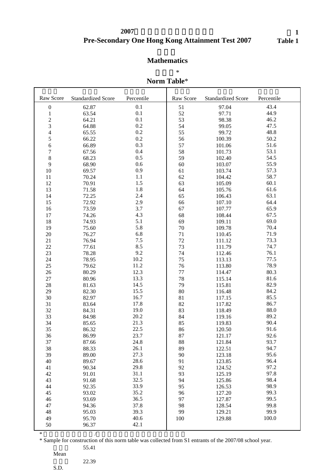# **Pre-Secondary One Hong Kong Attainment Test 2007 2007**

表 **1 Table 1**

# **Mathematics**

#### 常模表\*

# **Norm Table**\*

| Raw Score                | <b>Standardized Score</b> | Percentile | Raw Score | <b>Standardized Score</b> | Percentile |
|--------------------------|---------------------------|------------|-----------|---------------------------|------------|
| $\boldsymbol{0}$         | 62.87                     | 0.1        | 51        | 97.04                     | 43.4       |
| $\mathbf{1}$             | 63.54                     | 0.1        | 52        | 97.71                     | 44.9       |
|                          | 64.21                     | 0.1        | 53        | 98.38                     | 46.2       |
| $\frac{2}{3}$            | 64.88                     | 0.2        | 54        | 99.05                     | 47.5       |
| $\overline{\mathcal{L}}$ | 65.55                     | 0.2        | 55        | 99.72                     | 48.8       |
| 5                        | 66.22                     | 0.2        | 56        | 100.39                    | 50.2       |
| $\sqrt{6}$               | 66.89                     | 0.3        | 57        | 101.06                    | 51.6       |
| $\sqrt{ }$               | 67.56                     | 0.4        | 58        | 101.73                    | 53.1       |
| $\,8\,$                  | 68.23                     | 0.5        | 59        | 102.40                    | 54.5       |
| 9                        | 68.90                     | 0.6        | 60        | 103.07                    | 55.9       |
| 10                       | 69.57                     | 0.9        | 61        | 103.74                    | 57.3       |
| 11                       | 70.24                     | 1.1        | 62        | 104.42                    | 58.7       |
| 12                       | 70.91                     | 1.5        | 63        | 105.09                    | 60.1       |
| 13                       | 71.58                     | 1.8        | 64        | 105.76                    | 61.6       |
| 14                       | 72.25                     | 2.4        | 65        | 106.43                    | 63.1       |
| 15                       | 72.92                     | 2.9        | 66        | 107.10                    | 64.4       |
| 16                       | 73.59                     | 3.7        | 67        | 107.77                    | 65.9       |
| 17                       | 74.26                     | 4.3        | 68        | 108.44                    | 67.5       |
| 18                       | 74.93                     | 5.1        | 69        | 109.11                    | 69.0       |
| 19                       | 75.60                     | 5.8        | 70        | 109.78                    | 70.4       |
| $20\,$                   | 76.27                     | 6.8        | 71        | 110.45                    | 71.9       |
| 21                       | 76.94                     | $7.5$      | 72        | 111.12                    | 73.3       |
| 22                       | 77.61                     | 8.5        | 73        | 111.79                    | 74.7       |
| 23                       | 78.28                     | 9.2        | 74        | 112.46                    | 76.1       |
| 24                       | 78.95                     | 10.2       | 75        | 113.13                    | 77.5       |
| 25                       | 79.62                     | 11.2       | 76        | 113.80                    | 78.9       |
| 26                       | 80.29                     | 12.3       | 77        | 114.47                    | 80.3       |
| 27                       | 80.96                     | 13.3       | 78        | 115.14                    | 81.6       |
| 28                       | 81.63                     | 14.5       | 79        | 115.81                    | 82.9       |
| 29                       | 82.30                     | 15.5       | 80        | 116.48                    | 84.2       |
| 30                       | 82.97                     | 16.7       | 81        | 117.15                    | 85.5       |
| 31                       | 83.64                     | 17.8       | 82        | 117.82                    | 86.7       |
| 32                       | 84.31                     | 19.0       | 83        | 118.49                    | 88.0       |
| 33                       | 84.98                     | 20.2       | 84        | 119.16                    | 89.2       |
| 34                       | 85.65                     | 21.3       | 85        | 119.83                    | 90.4       |
| 35                       | 86.32                     | 22.5       | 86        | 120.50                    | 91.6       |
| 36                       | 86.99                     | 23.7       | 87        | 121.17                    | 92.6       |
| 37                       | 87.66                     | 24.8       | 88        | 121.84                    | 93.7       |
| 38                       | 88.33                     | 26.1       | 89        | 122.51                    | 94.7       |
| 39                       | 89.00                     | 27.3       | 90        | 123.18                    | 95.6       |
| 40                       | 89.67                     | 28.6       | 91        | 123.85                    | 96.4       |
| 41                       | 90.34                     | 29.8       | 92        | 124.52                    | 97.2       |
| 42                       | 91.01                     | 31.1       | 93        | 125.19                    | 97.8       |
| 43                       | 91.68                     | 32.5       | 94        | 125.86                    | 98.4       |
| 44                       | 92.35                     | 33.9       | 95        | 126.53                    | 98.9       |
| 45                       | 93.02                     | 35.2       | 96        | 127.20                    | 99.3       |
| 46                       | 93.69                     | 36.5       | 97        | 127.87                    | 99.5       |
| 47                       | 94.36                     | 37.8       | 98        | 128.54                    | 99.8       |
| 48                       | 95.03                     | 39.3       | 99        | 129.21                    | 99.9       |
| 49                       | 95.70                     | 40.6       | 100       | 129.88                    | 100.0      |
| 50                       | 96.37                     | 42.1       |           |                           |            |

\* Sample for construction of this norm table was collected from S1 entrants of the 2007/08 school year.

 $*$ 

Mean

<sup>55.41</sup> 

<sup>22.39</sup> 

S.D.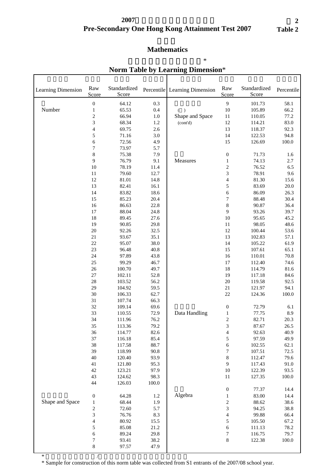## **Pre-Secondary One Hong Kong Attainment Test 2007 2007**年中一入學前香港學科測驗

# **Mathematics**

| Learning Dimension | Raw<br>Score                 | Standardized<br>Score |            | Percentile Learning Dimension | Raw<br>Score                     | Standardized<br>Score | Percentile   |
|--------------------|------------------------------|-----------------------|------------|-------------------------------|----------------------------------|-----------------------|--------------|
|                    | $\boldsymbol{0}$             | 64.12                 | 0.3        |                               | $\overline{9}$                   | 101.73                | 58.1         |
| Number             | $\mathbf{1}$                 | 65.53                 | 0.4        | ( )                           | 10                               | 105.89                | 66.2         |
|                    | $\sqrt{2}$                   | 66.94                 | 1.0        | Shape and Space               | $11\,$                           | 110.05                | 77.2         |
|                    | 3                            | 68.34                 | 1.2        | (cont'd)                      | 12                               | 114.21                | 83.0         |
|                    | 4                            | 69.75                 | 2.6        |                               | 13                               | 118.37                | 92.3         |
|                    | 5                            | 71.16                 | 3.0        |                               | 14                               | 122.53                | 94.8         |
|                    | 6                            | 72.56                 | 4.9        |                               | 15                               | 126.69                | $100.0\,$    |
|                    | 7                            | 73.97                 | 5.7        |                               |                                  |                       |              |
|                    | $\,8\,$                      | 75.38                 | 7.9        |                               | $\boldsymbol{0}$                 | 71.73                 | 1.6          |
|                    | 9                            | 76.79                 | 9.1        | Measures                      | $\mathbf{1}$                     | 74.13                 | $2.7\,$      |
|                    | 10                           | 78.19                 | 11.4       |                               | $\overline{c}$                   | 76.52                 | 6.5          |
|                    | $11\,$                       | 79.60                 | 12.7       |                               | 3                                | 78.91                 | 9.6          |
|                    | 12                           | 81.01                 | 14.8       |                               | $\overline{\mathcal{L}}$         | 81.30                 | 15.6         |
|                    | 13                           | 82.41                 | 16.1       |                               | 5                                | 83.69                 | 20.0         |
|                    | 14                           | 83.82                 | 18.6       |                               | 6                                | 86.09                 | 26.3         |
|                    | 15                           | 85.23                 | 20.4       |                               | $\boldsymbol{7}$                 | 88.48                 | 30.4         |
|                    | 16                           | 86.63                 | 22.8       |                               | $\,8\,$                          | 90.87                 | 36.4         |
|                    | 17                           | 88.04                 | 24.8       |                               | 9                                | 93.26                 | 39.7         |
|                    | 18                           | 89.45                 | 27.6       |                               | 10                               | 95.65                 | 45.2         |
|                    | 19                           | 90.85                 | 29.8       |                               | $11\,$                           | 98.05                 | 48.6         |
|                    | 20                           | 92.26                 | 32.5       |                               | 12                               | 100.44                | 53.6         |
|                    | 21                           | 93.67                 | 35.1       |                               | 13                               | 102.83                | 57.1         |
|                    | 22                           | 95.07                 | 38.0       |                               | 14                               | 105.22                | 61.9         |
|                    | 23                           | 96.48                 | 40.8       |                               | 15                               | 107.61                | 65.1         |
|                    | 24                           | 97.89                 | 43.8       |                               | 16                               | 110.01                | 70.8         |
|                    | 25                           | 99.29                 | 46.7       |                               | $17\,$                           | 112.40                | 74.6         |
|                    | 26                           | 100.70                | 49.7       |                               | 18                               | 114.79                | 81.6         |
|                    | $27\,$                       | 102.11                | 52.8       |                               | 19                               | 117.18                | 84.6         |
|                    | 28                           | 103.52                | 56.2       |                               | 20                               | 119.58                | 92.5         |
|                    | 29                           | 104.92                | 59.5       |                               | 21                               | 121.97                | 94.1         |
|                    | 30                           | 106.33                | 62.7       |                               | 22                               | 124.36                | 100.0        |
|                    | 31                           | 107.74                | 66.3       |                               |                                  |                       |              |
|                    | 32                           | 109.14                | 69.6       |                               | $\boldsymbol{0}$                 | 72.79                 | 6.1          |
|                    | 33                           | 110.55                | 72.9       | Data Handling                 | $\,1$                            | 77.75                 | 8.9          |
|                    | 34                           | 111.96                | 76.2       |                               | $\overline{c}$                   | 82.71                 | 20.3         |
|                    | 35                           | 113.36                | 79.2       |                               | 3                                | 87.67                 | 26.5         |
|                    | 36                           | 114.77                | 82.6       |                               | $\overline{\mathcal{L}}$         | 92.63                 | 40.9         |
|                    | 37                           | 116.18                | 85.4       |                               | 5                                | 97.59                 | 49.9         |
|                    | 38                           | 117.58                | 88.7       |                               | 6                                | 102.55                | 62.1         |
|                    | 39                           | 118.99                | 90.8       |                               | $\boldsymbol{7}$                 | 107.51                | 72.5         |
|                    | 40                           | 120.40                | 93.9       |                               | $\,$ 8 $\,$                      | 112.47                | 79.6         |
|                    | 41                           | 121.80                | 95.3       |                               | 9                                | 117.43                | 91.0         |
|                    | 42                           | 123.21                | 97.9       |                               | 10                               | 122.39                | 93.5         |
|                    | 43                           | 124.62                | 98.3       |                               | 11                               | 127.35                | 100.0        |
|                    | 44                           | 126.03                | 100.0      |                               |                                  | 77.37                 |              |
|                    |                              |                       |            | Algebra                       | $\boldsymbol{0}$                 |                       | 14.4<br>14.4 |
|                    | $\boldsymbol{0}$             | 64.28                 | 1.2        |                               | $\,1\,$                          | 83.00                 |              |
| Shape and Space    | $\mathbf 1$                  | 68.44                 | 1.9<br>5.7 |                               | $\overline{\mathbf{c}}$          | 88.62                 | 38.6<br>38.8 |
|                    | $\sqrt{2}$<br>$\overline{3}$ | 72.60<br>76.76        | 8.3        |                               | 3                                | 94.25<br>99.88        | 66.4         |
|                    | $\overline{4}$               | 80.92                 | 15.5       |                               | $\overline{\mathcal{L}}$<br>5    | 105.50                | 67.2         |
|                    | $\sqrt{5}$                   | 85.08                 | 21.2       |                               | $\boldsymbol{6}$                 | 111.13                | 78.2         |
|                    | $\sqrt{6}$                   | 89.24                 | 29.8       |                               | $\begin{array}{c} 7 \end{array}$ | 116.75                | 79.7         |
|                    | 7                            | 93.41                 | 38.2       |                               | $\,8\,$                          | 122.38                | $100.0\,$    |
|                    | $\,8\,$                      | 97.57                 | 47.9       |                               |                                  |                       |              |
|                    |                              |                       |            |                               |                                  |                       |              |

## 按學習範疇劃分的常模表\* **Norm Table by Learning Dimension**\*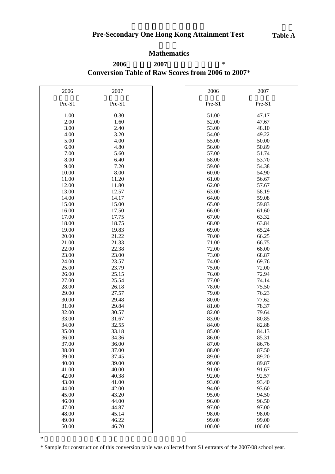## **Mathematics**

**Conversion Table of Raw Scores from 2006 to 2007**\* **2006 2007** \*

| 2006           | 2007           | 2006           | 2007           |
|----------------|----------------|----------------|----------------|
| Pre-S1         | Pre-S1         | Pre-S1         | Pre-S1         |
| 1.00           | 0.30           | 51.00          | 47.17          |
| 2.00           | 1.60           | 52.00          | 47.67          |
| 3.00           | 2.40           | 53.00          | 48.10          |
| 4.00           | 3.20           | 54.00          | 49.22          |
| 5.00           | 4.00           | 55.00          | 50.00          |
| 6.00           | 4.80           | 56.00          | 50.89          |
| 7.00           | 5.60           | 57.00          | 51.74          |
| 8.00           | 6.40           | 58.00          | 53.70          |
| 9.00           | 7.20           | 59.00          | 54.38          |
| 10.00          | 8.00           | 60.00          | 54.90          |
| 11.00          | 11.20          | 61.00          | 56.67          |
| 12.00          | 11.80          | 62.00          | 57.67          |
| 13.00          | 12.57          | 63.00          | 58.19          |
| 14.00          | 14.17          | 64.00          | 59.08          |
| 15.00          | 15.00          | 65.00          | 59.83          |
| 16.00          | 17.50          | 66.00          | 61.60          |
| 17.00          | 17.75          | 67.00          | 63.32          |
| 18.00          | 18.75          | 68.00          | 63.84          |
| 19.00          | 19.83          | 69.00          | 65.24          |
| 20.00          | 21.22          | 70.00          | 66.25          |
| 21.00          | 21.33          | 71.00          | 66.75          |
| 22.00          | 22.38          | 72.00          | 68.00          |
| 23.00          | 23.00          | 73.00          | 68.87          |
| 24.00          | 23.57          | 74.00          | 69.76          |
| 25.00          | 23.79          | 75.00          | 72.00          |
| 26.00          | 25.15          | 76.00          | 72.94          |
| 27.00<br>28.00 | 25.54<br>26.18 | 77.00<br>78.00 | 74.14<br>75.50 |
| 29.00          | 27.57          | 79.00          | 76.23          |
| 30.00          | 29.48          | 80.00          | 77.62          |
| 31.00          | 29.84          | 81.00          | 78.37          |
| 32.00          | 30.57          | 82.00          | 79.64          |
| 33.00          | 31.67          | 83.00          | 80.85          |
| 34.00          | 32.55          | 84.00          | 82.88          |
| 35.00          | 33.18          | 85.00          | 84.13          |
| 36.00          | 34.36          | 86.00          | 85.31          |
| 37.00          | 36.00          | 87.00          | 86.76          |
| 38.00          | 37.00          | 88.00          | 87.50          |
| 39.00          | 37.45          | 89.00          | 89.20          |
| 40.00          | 39.00          | 90.00          | 89.87          |
| 41.00          | 40.00          | 91.00          | 91.67          |
| 42.00          | 40.38          | 92.00          | 92.57          |
| 43.00          | 41.00          | 93.00          | 93.40          |
| 44.00          | 42.00          | 94.00          | 93.60          |
| 45.00          | 43.20          | 95.00          | 94.50          |
| 46.00          | 44.00          | 96.00          | 96.50          |
| 47.00          | 44.87          | 97.00          | 97.00          |
| 48.00          | 45.14          | 98.00          | 98.00          |
| 49.00          | 46.22          | 99.00          | 99.00          |
| 50.00          | 46.70          | 100.00         | 100.00         |

 $*$